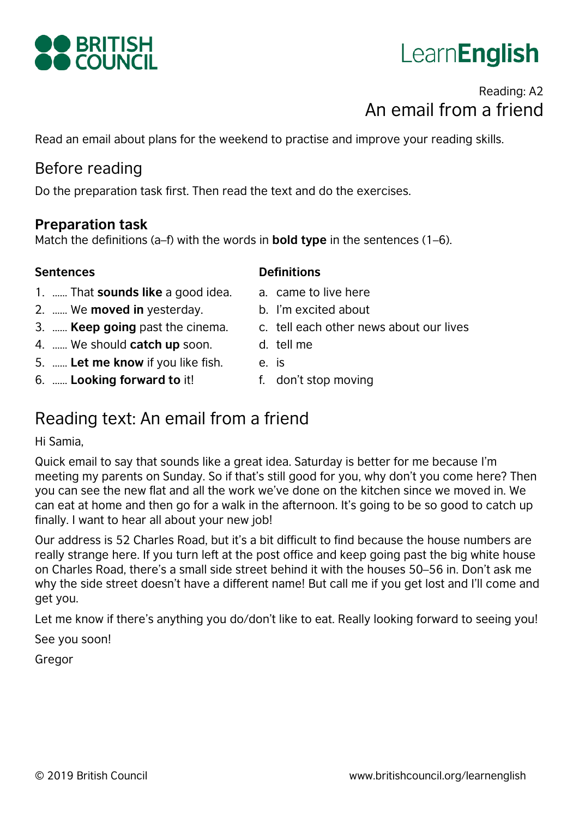# LearnEnglish

# Reading: A2 An email from a friend

Read an email about plans for the weekend to practise and improve your reading skills.

# Before reading

Do the preparation task first. Then read the text and do the exercises.

#### **Preparation task**

Match the definitions (a–f) with the words in **bold type** in the sentences (1–6).

#### **Sentences**

- 1. …… That **sounds like** a good idea.
- 2. …… We **moved in** yesterday.
- 3. …… **Keep going** past the cinema.
- 4. …… We should **catch up** soon.
- 5. …… **Let me know** if you like fish.
- 6. …… **Looking forward to** it!
- **Definitions**
- a. came to live here
- b. I'm excited about
- c. tell each other news about our lives
- d. tell me
- e. is
- f. don't stop moving

# Reading text: An email from a friend

#### Hi Samia,

Quick email to say that sounds like a great idea. Saturday is better for me because I'm meeting my parents on Sunday. So if that's still good for you, why don't you come here? Then you can see the new flat and all the work we've done on the kitchen since we moved in. We can eat at home and then go for a walk in the afternoon. It's going to be so good to catch up finally. I want to hear all about your new job!

Our address is 52 Charles Road, but it's a bit difficult to find because the house numbers are really strange here. If you turn left at the post office and keep going past the big white house on Charles Road, there's a small side street behind it with the houses 50–56 in. Don't ask me why the side street doesn't have a different name! But call me if you get lost and I'll come and get you.

Let me know if there's anything you do/don't like to eat. Really looking forward to seeing you!

See you soon!

Gregor

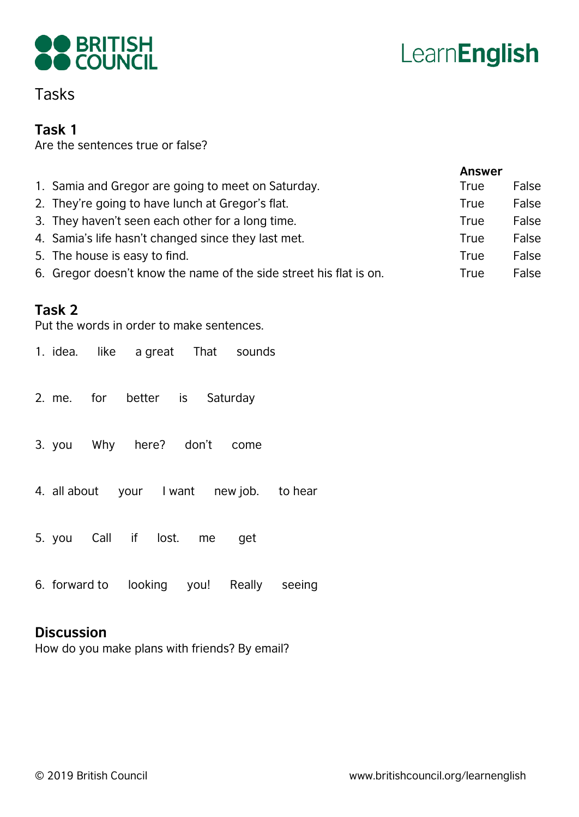



# Tasks

#### **Task 1**

Are the sentences true or false?

|                                                                    | <b>Answer</b> |       |
|--------------------------------------------------------------------|---------------|-------|
| 1. Samia and Gregor are going to meet on Saturday.                 | True          | False |
| 2. They're going to have lunch at Gregor's flat.                   | True          | False |
| 3. They haven't seen each other for a long time.                   | True          | False |
| 4. Samia's life hasn't changed since they last met.                | True          | False |
| 5. The house is easy to find.                                      | True          | False |
| 6. Gregor doesn't know the name of the side street his flat is on. | True          | False |
|                                                                    |               |       |

#### **Task 2**

Put the words in order to make sentences.

|  |                               | 1. idea. like a great That sounds         |  |
|--|-------------------------------|-------------------------------------------|--|
|  | 2. me. for better is Saturday |                                           |  |
|  | 3. you Why here? don't come   |                                           |  |
|  |                               | 4. all about your I want new job. to hear |  |
|  | 5. you Call if lost. me get   |                                           |  |
|  |                               |                                           |  |

6. forward to looking you! Really seeing

#### **Discussion**

How do you make plans with friends? By email?